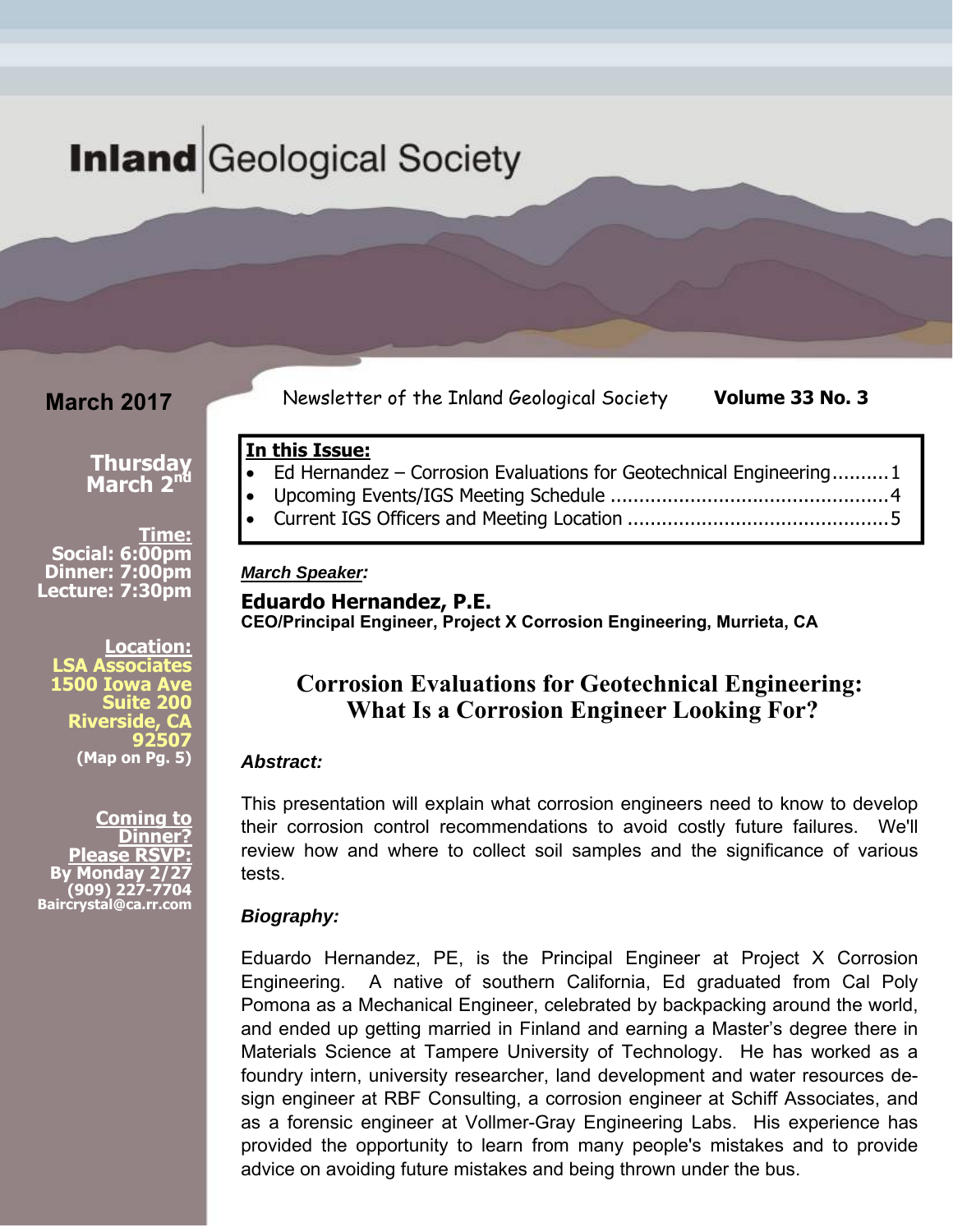# **Inland** Geological Society

**In this Issue:** 

*March Speaker:* 

### **March 2017**

Newsletter of the Inland Geological Society **Volume 33 No. 3** 

#### **Thursday March 2nd**

**Time: Social: 6:00pm Dinner: 7:00pm Lecture: 7:30pm** 

**Location: LSA Associates 1500 Iowa Ave Suite 200 Riverside, CA 92507 (Map on Pg. 5)** 

**Coming to Dinner? Please RSVP: b**onday **(909) 227-7704 Baircrystal@ca.rr.com**

# **Eduardo Hernandez, P.E.**

**CEO/Principal Engineer, Project X Corrosion Engineering, Murrieta, CA** 

### **Corrosion Evaluations for Geotechnical Engineering: What Is a Corrosion Engineer Looking For?**

• Ed Hernandez – Corrosion Evaluations for Geotechnical Engineering ..........1 Upcoming Events/IGS Meeting Schedule ................................................. 4 Current IGS Officers and Meeting Location .............................................. 5

#### *Abstract:*

This presentation will explain what corrosion engineers need to know to develop their corrosion control recommendations to avoid costly future failures. We'll review how and where to collect soil samples and the significance of various tests.

#### *Biography:*

Eduardo Hernandez, PE, is the Principal Engineer at Project X Corrosion Engineering. A native of southern California, Ed graduated from Cal Poly Pomona as a Mechanical Engineer, celebrated by backpacking around the world, and ended up getting married in Finland and earning a Master's degree there in Materials Science at Tampere University of Technology. He has worked as a foundry intern, university researcher, land development and water resources design engineer at RBF Consulting, a corrosion engineer at Schiff Associates, and as a forensic engineer at Vollmer-Gray Engineering Labs. His experience has provided the opportunity to learn from many people's mistakes and to provide advice on avoiding future mistakes and being thrown under the bus.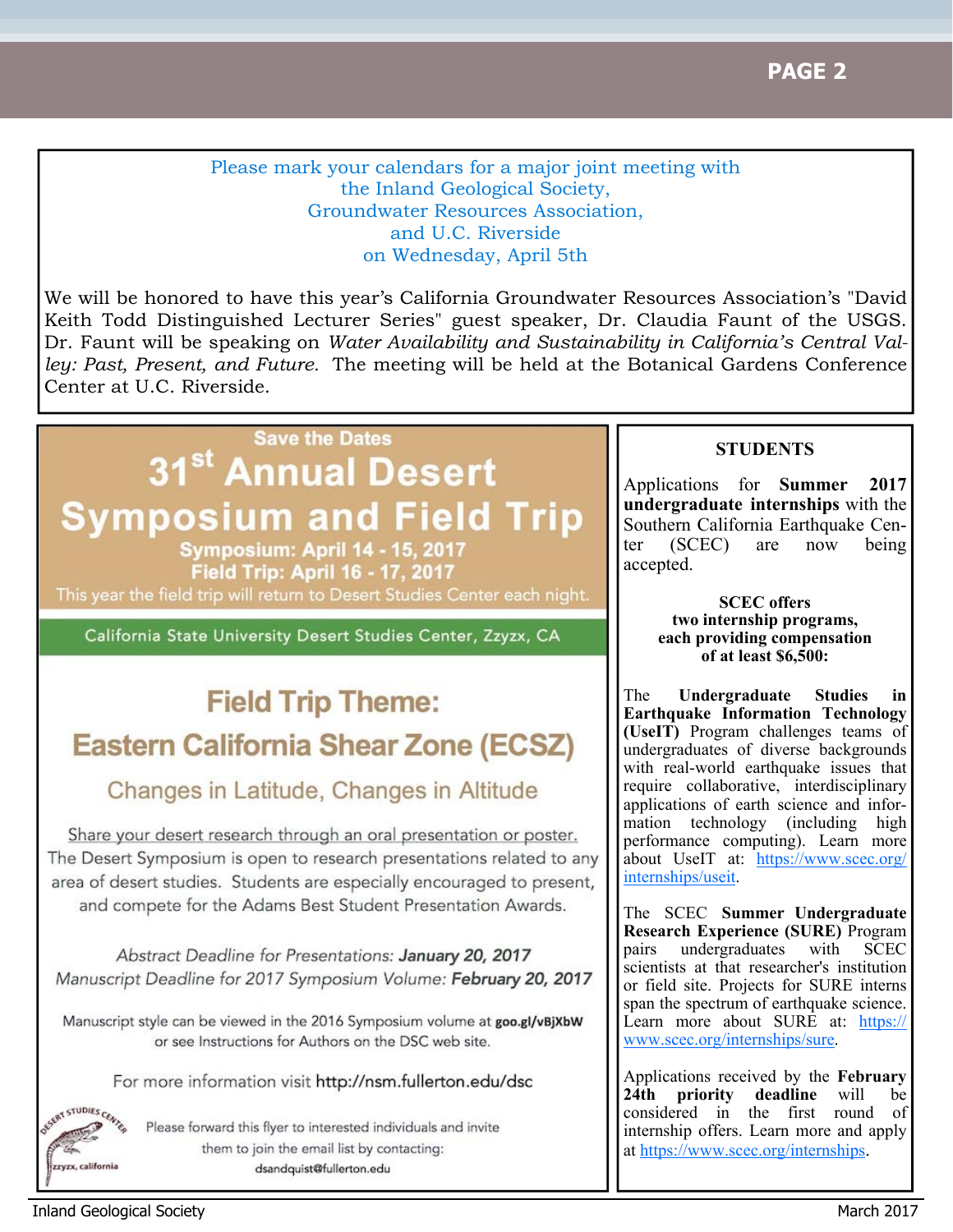Please mark your calendars for a major joint meeting with the Inland Geological Society, Groundwater Resources Association, and U.C. Riverside on Wednesday, April 5th

We will be honored to have this year's California Groundwater Resources Association's "David Keith Todd Distinguished Lecturer Series" guest speaker, Dr. Claudia Faunt of the USGS. Dr. Faunt will be speaking on *Water Availability and Sustainability in California's Central Valley: Past, Present, and Future.* The meeting will be held at the Botanical Gardens Conference Center at U.C. Riverside.

# **Save the Dates**

# 31<sup>st</sup> Annual Desert **Symposium and Field Trip**

**Symposium: April 14 - 15, 2017** Field Trip: April 16 - 17, 2017 This year the field trip will return to Desert Studies Center each night.

California State University Desert Studies Center, Zzyzx, CA

# **Field Trip Theme: Eastern California Shear Zone (ECSZ)**

# Changes in Latitude, Changes in Altitude

Share your desert research through an oral presentation or poster. The Desert Symposium is open to research presentations related to any area of desert studies. Students are especially encouraged to present, and compete for the Adams Best Student Presentation Awards.

Abstract Deadline for Presentations: January 20, 2017 Manuscript Deadline for 2017 Symposium Volume: February 20, 2017

Manuscript style can be viewed in the 2016 Symposium volume at goo.gl/vBjXbW or see Instructions for Authors on the DSC web site.

For more information visit http://nsm.fullerton.edu/dsc

Please forward this flyer to interested individuals and invite them to join the email list by contacting: dsandquist@fullerton.edu

### **STUDENTS**

Applications for **Summer 2017 undergraduate internships** with the Southern California Earthquake Center (SCEC) are now being accepted.

> **SCEC offers two internship programs, each providing compensation of at least \$6,500:**

The **Undergraduate Studies in Earthquake Information Technology (UseIT)** Program challenges teams of undergraduates of diverse backgrounds with real-world earthquake issues that require collaborative, interdisciplinary applications of earth science and information technology (including high performance computing). Learn more about UseIT at: https://www.scec.org/ internships/useit.

The SCEC **Summer Undergraduate Research Experience (SURE)** Program pairs undergraduates with SCEC scientists at that researcher's institution or field site. Projects for SURE interns span the spectrum of earthquake science. Learn more about SURE at: https:// www.scec.org/internships/sure.

Applications received by the **February priority deadline** will be considered in the first round of internship offers. Learn more and apply at https://www.scec.org/internships.

ESERT STUDIES CENTER

zyzx, california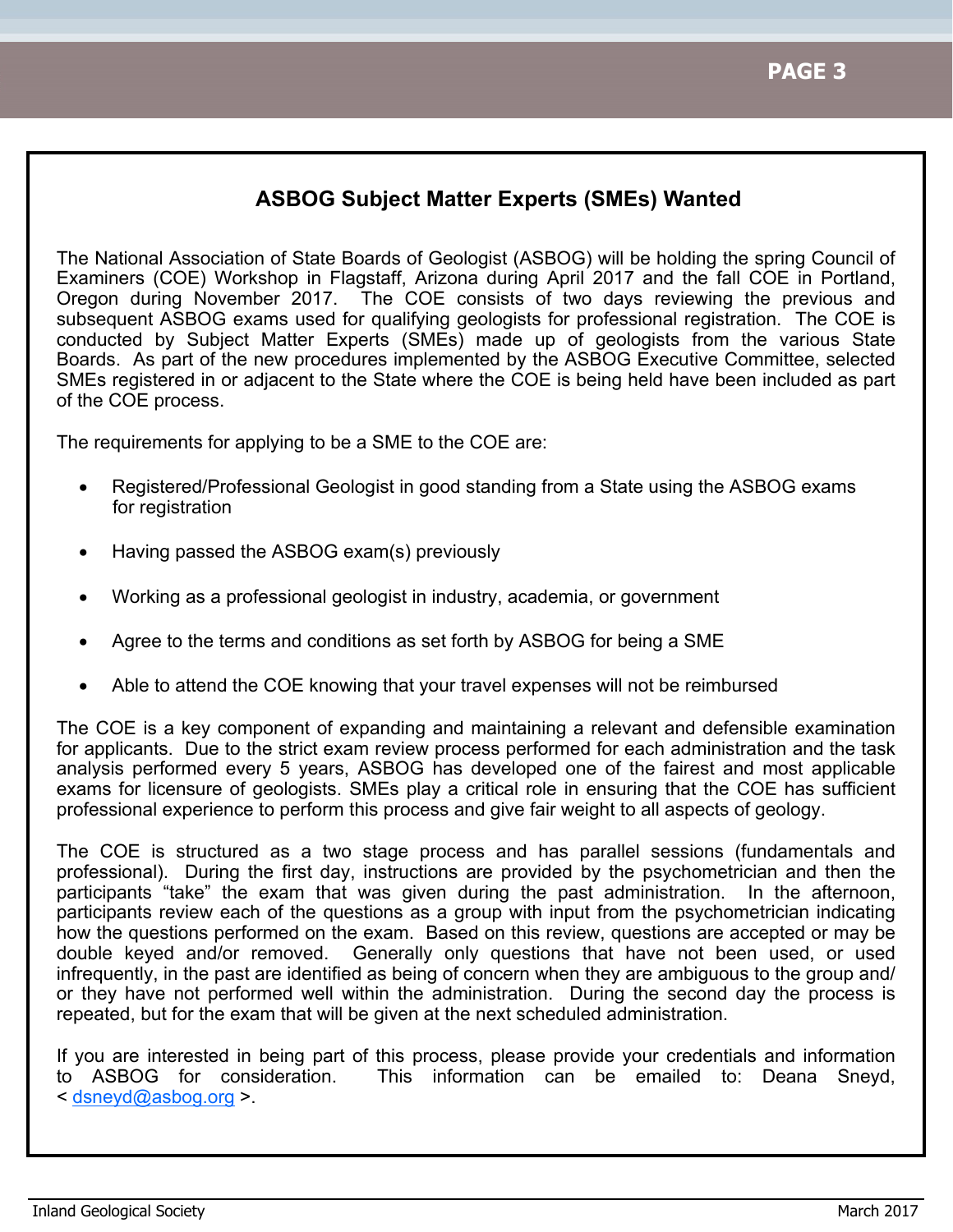### **ASBOG Subject Matter Experts (SMEs) Wanted**

The National Association of State Boards of Geologist (ASBOG) will be holding the spring Council of Examiners (COE) Workshop in Flagstaff, Arizona during April 2017 and the fall COE in Portland, Oregon during November 2017. The COE consists of two days reviewing the previous and subsequent ASBOG exams used for qualifying geologists for professional registration. The COE is conducted by Subject Matter Experts (SMEs) made up of geologists from the various State Boards. As part of the new procedures implemented by the ASBOG Executive Committee, selected SMEs registered in or adjacent to the State where the COE is being held have been included as part of the COE process.

The requirements for applying to be a SME to the COE are:

- Registered/Professional Geologist in good standing from a State using the ASBOG exams for registration
- Having passed the ASBOG exam(s) previously
- Working as a professional geologist in industry, academia, or government
- Agree to the terms and conditions as set forth by ASBOG for being a SME
- Able to attend the COE knowing that your travel expenses will not be reimbursed

The COE is a key component of expanding and maintaining a relevant and defensible examination for applicants. Due to the strict exam review process performed for each administration and the task analysis performed every 5 years, ASBOG has developed one of the fairest and most applicable exams for licensure of geologists. SMEs play a critical role in ensuring that the COE has sufficient professional experience to perform this process and give fair weight to all aspects of geology.

The COE is structured as a two stage process and has parallel sessions (fundamentals and professional). During the first day, instructions are provided by the psychometrician and then the participants "take" the exam that was given during the past administration. In the afternoon, participants review each of the questions as a group with input from the psychometrician indicating how the questions performed on the exam. Based on this review, questions are accepted or may be double keyed and/or removed. Generally only questions that have not been used, or used infrequently, in the past are identified as being of concern when they are ambiguous to the group and/ or they have not performed well within the administration. During the second day the process is repeated, but for the exam that will be given at the next scheduled administration.

If you are interested in being part of this process, please provide your credentials and information to ASBOG for consideration. This information can be emailed to: Deana Sneyd, < dsneyd@asbog.org >.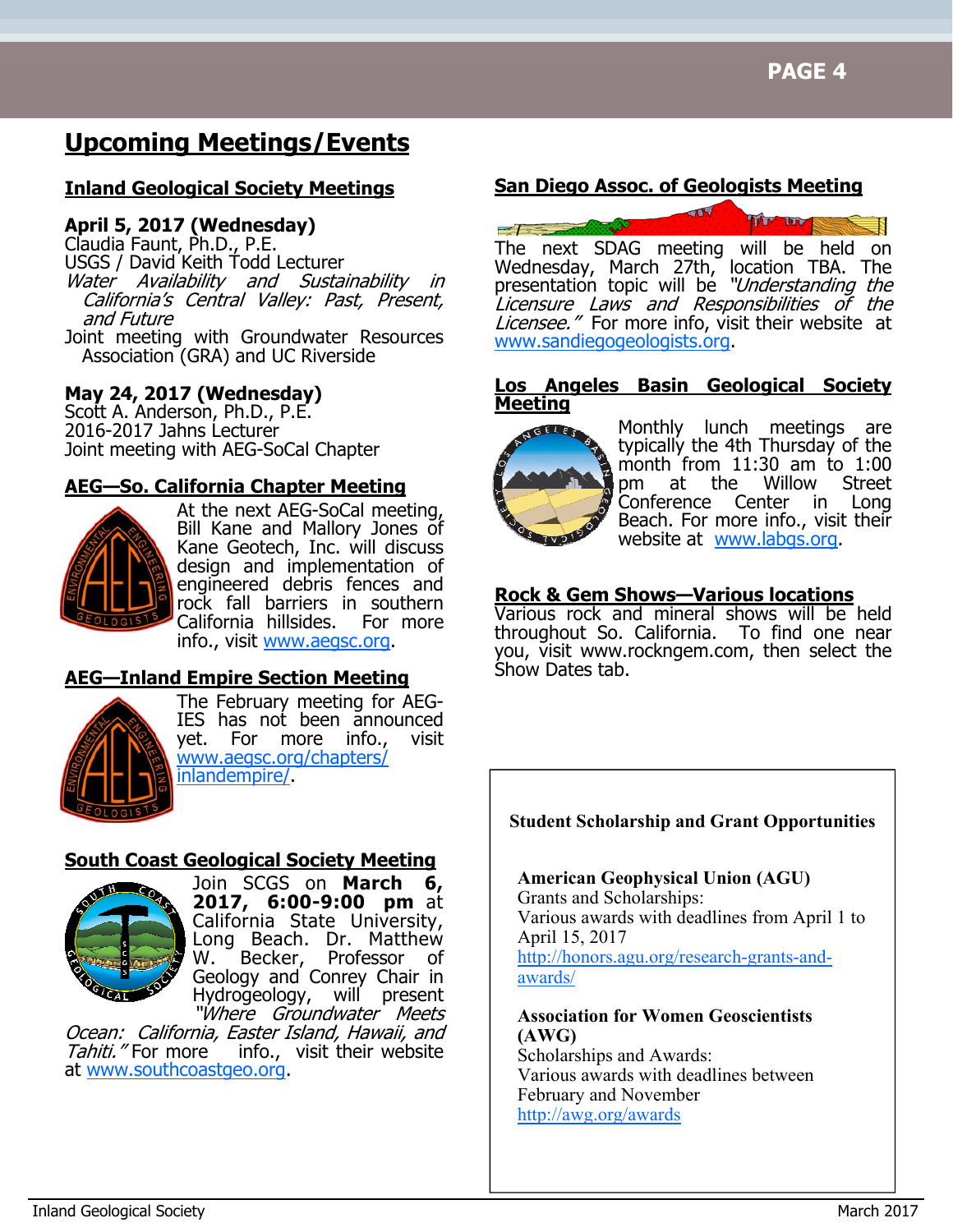# **Upcoming Meetings/Events**

### **Inland Geological Society Meetings**

#### **April 5, 2017 (Wednesday)**

Claudia Faunt, Ph.D., P.E. USGS / David Keith Todd Lecturer Water Availability and Sustainability in California's Central Valley: Past, Present,<br>and Future

Joint meeting with Groundwater Resources Association (GRA) and UC Riverside

### **May 24, 2017 (Wednesday)**

Scott A. Anderson, Ph.D., P.E. 2016-2017 Jahns Lecturer Joint meeting with AEG-SoCal Chapter

#### **AEG—So. California Chapter Meeting**



At the next AEG-SoCal meeting, Bill Kane and Mallory Jones of Kane Geotech, Inc. will discuss design and implementation of engineered debris fences and rock fall barriers in southern California hillsides. For more info., visit www.aegsc.org.

### **AEG—Inland Empire Section Meeting**



The February meeting for AEG-IES has not been announced yet. For more info., visit www.aegsc.org/chapters/ inlandempire/.

#### **South Coast Geological Society Meeting**



Join SCGS on **March 6, 2017, 6:00-9:00 pm** at California State University, Long Beach. Dr. Matthew W. Becker, Professor of Geology and Conrey Chair in Hydrogeology, will present "Where Groundwater Meets

Ocean: California, Easter Island, Hawaii, and<br>Tahiti."For more info., visit their website info., visit their website at www.southcoastgeo.org.

#### **San Diego Assoc. of Geologists Meeting**



The next SDAG meeting will be held on Wednesday, March 27th, location TBA. The presentation topic will be "Understanding the Licensure Laws and Responsibilities of the Licensee." For more info, visit their website at www.sandiegogeologists.org.

#### **Los Angeles Basin Geological Society Meeting**



Monthly lunch meetings are typically the 4th Thursday of the month from 11:30 am to 1:00<br>pm at the Willow Street pm at the Willow Street Conference Center in Long Beach. For more info., visit their website at www.labgs.org.

#### **Rock & Gem Shows—Various locations**

Various rock and mineral shows will be held throughout So. California. To find one near you, visit www.rockngem.com, then select the Show Dates tab.

#### **Student Scholarship and Grant Opportunities**

**American Geophysical Union (AGU)** Grants and Scholarships: Various awards with deadlines from April 1 to April 15, 2017 http://honors.agu.org/research-grants-andawards/

#### **Association for Women Geoscientists (AWG)**

Scholarships and Awards: Various awards with deadlines between February and November http://awg.org/awards